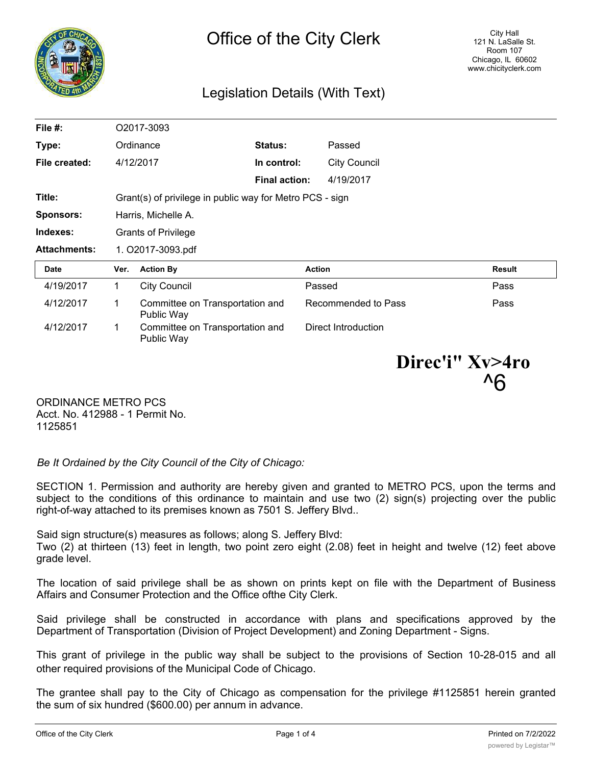

## Legislation Details (With Text)

| File $#$ :          |                                                          | O2017-3093                                    |                      |                     |               |
|---------------------|----------------------------------------------------------|-----------------------------------------------|----------------------|---------------------|---------------|
| Type:               |                                                          | Ordinance                                     | Status:              | Passed              |               |
| File created:       |                                                          | 4/12/2017                                     | In control:          | <b>City Council</b> |               |
|                     |                                                          |                                               | <b>Final action:</b> | 4/19/2017           |               |
| Title:              | Grant(s) of privilege in public way for Metro PCS - sign |                                               |                      |                     |               |
| Sponsors:           | Harris, Michelle A.                                      |                                               |                      |                     |               |
| Indexes:            | <b>Grants of Privilege</b>                               |                                               |                      |                     |               |
|                     |                                                          |                                               |                      |                     |               |
| <b>Attachments:</b> |                                                          | 1. O2017-3093.pdf                             |                      |                     |               |
| Date                | Ver.                                                     | <b>Action By</b>                              | <b>Action</b>        |                     | <b>Result</b> |
| 4/19/2017           | 1                                                        | <b>City Council</b>                           |                      | Passed              | Pass          |
| 4/12/2017           | 1                                                        | Committee on Transportation and<br>Public Way |                      | Recommended to Pass | Pass          |

**Direc'i" Xv>4ro** ^6

ORDINANCE METRO PCS Acct. No. 412988 - 1 Permit No. 1125851

*Be It Ordained by the City Council of the City of Chicago:*

SECTION 1. Permission and authority are hereby given and granted to METRO PCS, upon the terms and subject to the conditions of this ordinance to maintain and use two (2) sign(s) projecting over the public right-of-way attached to its premises known as 7501 S. Jeffery Blvd..

Said sign structure(s) measures as follows; along S. Jeffery Blvd:

Two (2) at thirteen (13) feet in length, two point zero eight (2.08) feet in height and twelve (12) feet above grade level.

The location of said privilege shall be as shown on prints kept on file with the Department of Business Affairs and Consumer Protection and the Office ofthe City Clerk.

Said privilege shall be constructed in accordance with plans and specifications approved by the Department of Transportation (Division of Project Development) and Zoning Department - Signs.

This grant of privilege in the public way shall be subject to the provisions of Section 10-28-015 and all other required provisions of the Municipal Code of Chicago.

The grantee shall pay to the City of Chicago as compensation for the privilege #1125851 herein granted the sum of six hundred (\$600.00) per annum in advance.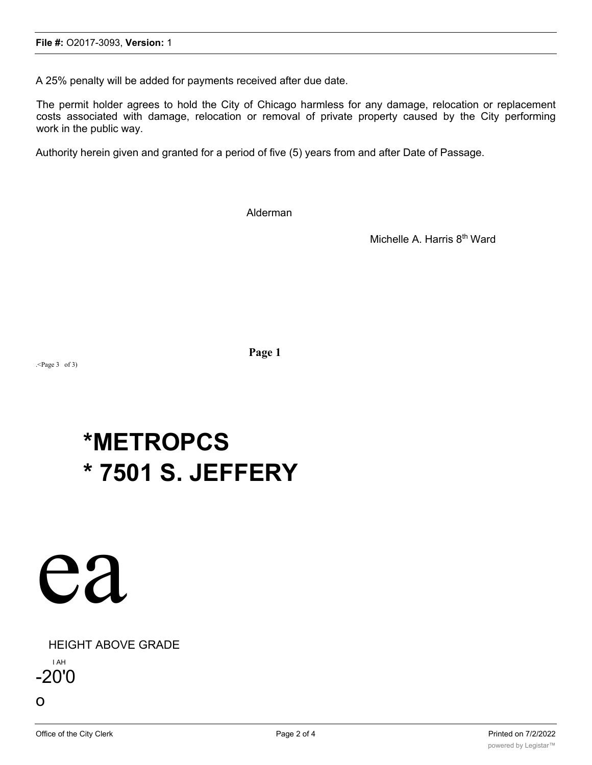A 25% penalty will be added for payments received after due date.

The permit holder agrees to hold the City of Chicago harmless for any damage, relocation or replacement costs associated with damage, relocation or removal of private property caused by the City performing work in the public way.

Authority herein given and granted for a period of five (5) years from and after Date of Passage.

Alderman

Michelle A. Harris 8<sup>th</sup> Ward

.<Page 3 of 3)

**Page 1**

# **\*METROPCS \* 7501 S. JEFFERY**



HEIGHT ABOVE GRADE

I AH -20'0

o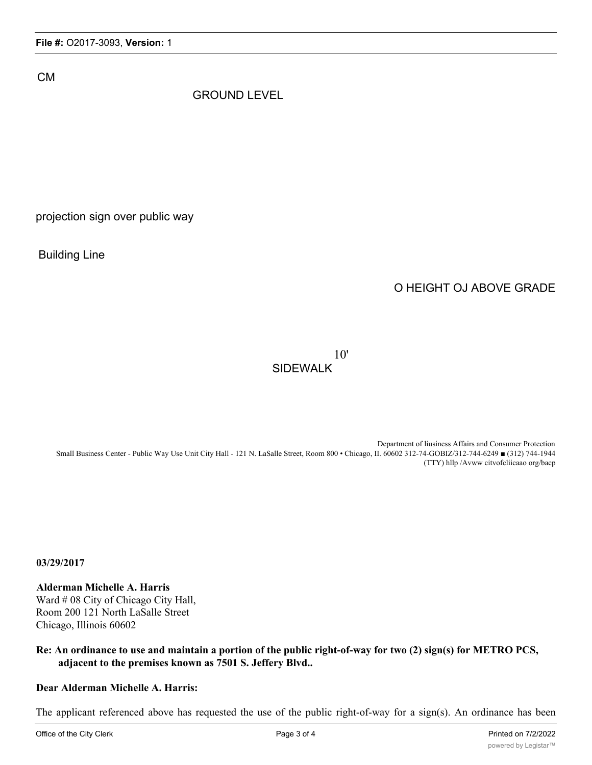CM

### GROUND LEVEL

projection sign over public way

Building Line

## O HEIGHT OJ ABOVE GRADE

10' SIDEWALK

Department of liusiness Affairs and Consumer Protection Small Business Center - Public Way Use Unit City Hall - 121 N. LaSalle Street, Room 800 • Chicago, II. 60602 312-74-GOBIZ/312-744-6249 ■ (312) 744-1944 (TTY) hllp /Avww citvofcliicaao org/bacp

**03/29/2017**

**Alderman Michelle A. Harris** Ward # 08 City of Chicago City Hall, Room 200 121 North LaSalle Street Chicago, Illinois 60602

#### **Re: An ordinance to use and maintain a portion of the public right-of-way for two (2) sign(s) for METRO PCS, adjacent to the premises known as 7501 S. Jeffery Blvd..**

#### **Dear Alderman Michelle A. Harris:**

The applicant referenced above has requested the use of the public right-of-way for a sign(s). An ordinance has been